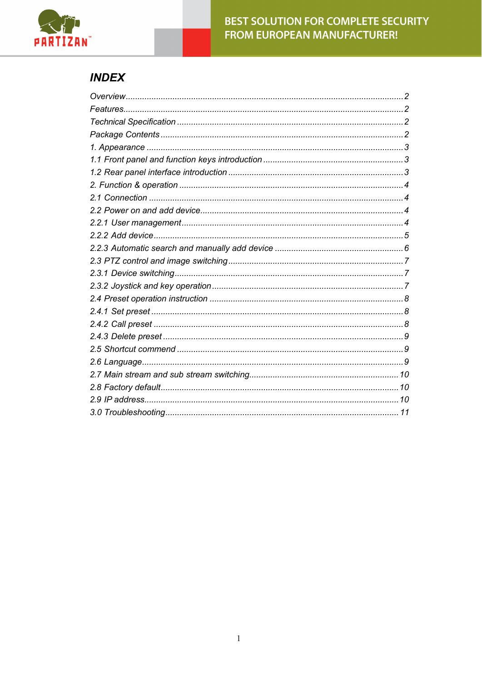

# **INDEX**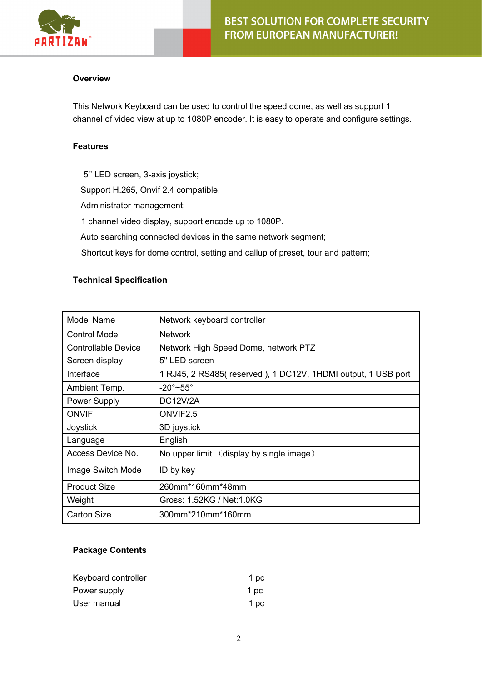

#### <span id="page-1-0"></span>**Overview**

This Network Keyboard can be used to control the speed dome, as well as support 1 channel of video view at up to 1080P encoder. It is easy to operate and configure settings.

#### <span id="page-1-1"></span>**Features**

5'' LED screen, 3-axis joystick; Support H.265, Onvif 2.4 compatible. Administrator management; 1 channel video display, support encode up to 1080P. Auto searching connected devices in the same network segment; Shortcut keys for dome control, setting and callup of preset, tour and pattern;

#### <span id="page-1-2"></span>**Technical Specification**

| <b>Model Name</b>   | Network keyboard controller                                  |  |  |
|---------------------|--------------------------------------------------------------|--|--|
| <b>Control Mode</b> | <b>Network</b>                                               |  |  |
| Controllable Device | Network High Speed Dome, network PTZ                         |  |  |
| Screen display      | 5" LED screen                                                |  |  |
| Interface           | 1 RJ45, 2 RS485(reserved), 1 DC12V, 1HDMI output, 1 USB port |  |  |
| Ambient Temp.       | $-20^\circ$ ~55°                                             |  |  |
| <b>Power Supply</b> | <b>DC12V/2A</b>                                              |  |  |
| ONVIF               | ONVIF <sub>2.5</sub>                                         |  |  |
| Joystick            | 3D joystick                                                  |  |  |
| Language            | English                                                      |  |  |
| Access Device No.   | No upper limit $\langle$ display by single image $\rangle$   |  |  |
| Image Switch Mode   | ID by key                                                    |  |  |
| <b>Product Size</b> | 260mm*160mm*48mm                                             |  |  |
| Weight              | Gross: 1.52KG / Net:1.0KG                                    |  |  |
| Carton Size         | 300mm*210mm*160mm                                            |  |  |

#### **Package Contents**

| Keyboard controller | 1 pc |
|---------------------|------|
| Power supply        | 1 pc |
| User manual         | 1 pc |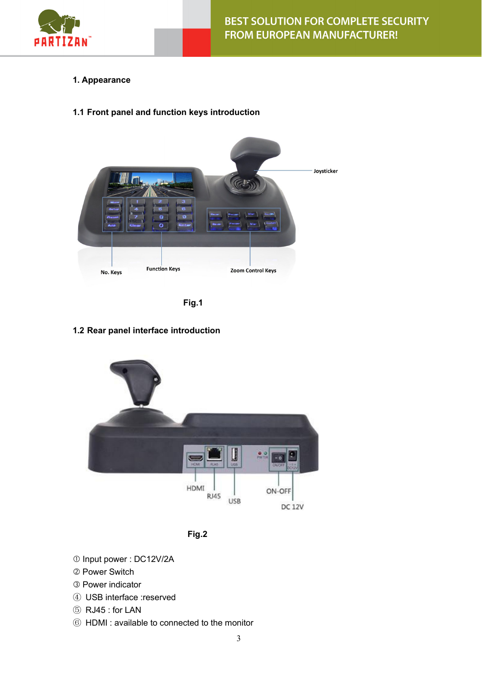

- **1. Appearance**
- <span id="page-2-0"></span>**1.1 Front panel and function keys introduction**





## <span id="page-2-1"></span>**1.2 Rear panel interface introduction**





- Input power : DC12V/2A
- Power Switch
- Power indicator
- ④ USB interface :reserved
- ⑤ RJ45 : for LAN
- ⑥ HDMI : available to connected to the monitor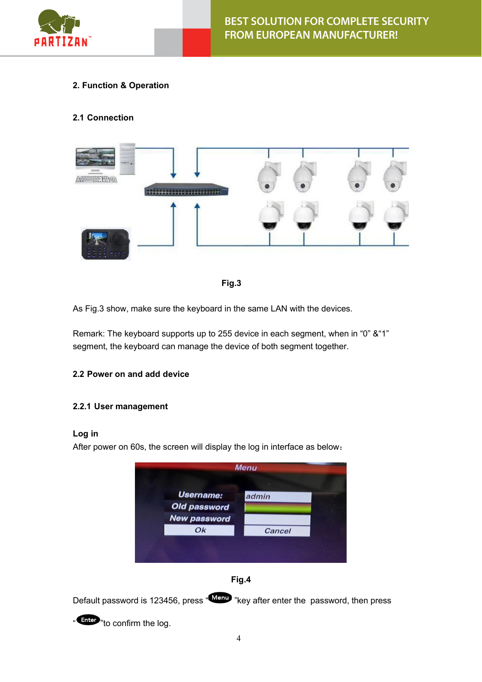

## <span id="page-3-0"></span>**2. Function & Operation**

## <span id="page-3-1"></span>**2.1 Connection**





As Fig.3 show, make sure the keyboard in the same LAN with the devices.

Remark: The keyboard supports up to 255 device in each segment, when in "0" &"1" segment, the keyboard can manage the device of both segment together.

## <span id="page-3-2"></span>**2.2 Power on and add device**

#### **2.2.1 User management**

#### **Log in**

After power on 60s, the screen will display the log in interface as below:





Default password is 123456, press "Menu "key after enter the password, then press

" Enter "to confirm the log.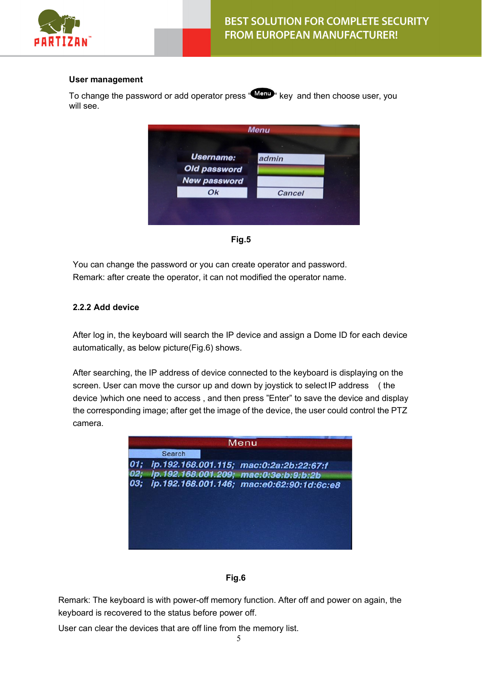

#### **User management**

To change the password or add operator press " Ment" key and then choose user, you will see.

|                     | <b>Menu</b> |  |
|---------------------|-------------|--|
|                     |             |  |
| Username:           | admin       |  |
| Old password        |             |  |
| <b>New password</b> |             |  |
| Ok                  | Cancel      |  |
|                     |             |  |
|                     |             |  |

**Fig.5**

You can change the password or you can create operator and password. Remark: after create the operator, it can not modified the operator name.

#### **2.2.2 Add device**

After log in, the keyboard will search the IP device and assign a Dome ID for each device automatically, as below picture(Fig.6) shows.

After searching, the IP address of device connected to the keyboard is displaying on the screen. User can move the cursor up and down by joystick to select IP address ( the device )which one need to access , and then press "Enter" to save the device and display the corresponding image; after get the image of the device, the user could control the PTZ camera.



#### **Fig.6**

Remark: The keyboard is with power-off memory function. After off and power on again, the keyboard is recovered to the status before power off.

User can clear the devices that are off line from the memory list.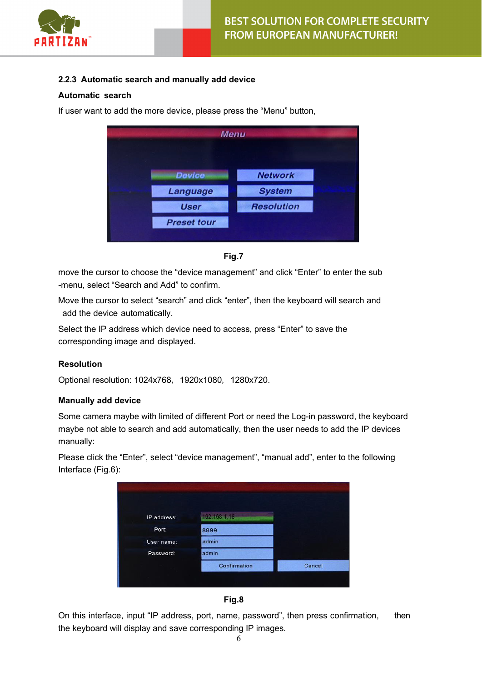

## **2.2.3 Automatic search and manually add device**

#### **Automatic search**

If user want to add the more device, please press the "Menu" button,

|                    | <b>Menu</b>       |  |
|--------------------|-------------------|--|
| <b>Device</b>      | <b>Network</b>    |  |
| Language           | <b>System</b>     |  |
| <b>User</b>        | <b>Resolution</b> |  |
| <b>Preset tour</b> |                   |  |

<span id="page-5-0"></span>**Fig.7**

move the cursor to choose the "device management" and click "Enter" to enter the sub -menu, select "Search and Add" to confirm.

Move the cursor to select "search" and click "enter", then the keyboard will search and add the device automatically.

Select the IP address which device need to access, press "Enter" to save the corresponding image and displayed.

#### **Resolution**

Optional resolution: 1024x768, 1920x1080, 1280x720.

#### **Manually add device**

Some camera maybe with limited of different Port or need the Log-in password, the keyboard maybe not able to search and add automatically, then the user needs to add the IP devices manually:

Please click the "Enter", select "device management", "manual add", enter to the following Interface (Fig.6):

| 192.168.1.18 |                        |
|--------------|------------------------|
|              |                        |
|              |                        |
|              |                        |
|              |                        |
|              |                        |
| Confirmation | Cancel                 |
|              |                        |
|              | 8899<br>admin<br>admin |



On this interface, input "IP address, port, name, password", then press confirmation, then the keyboard will display and save corresponding IP images.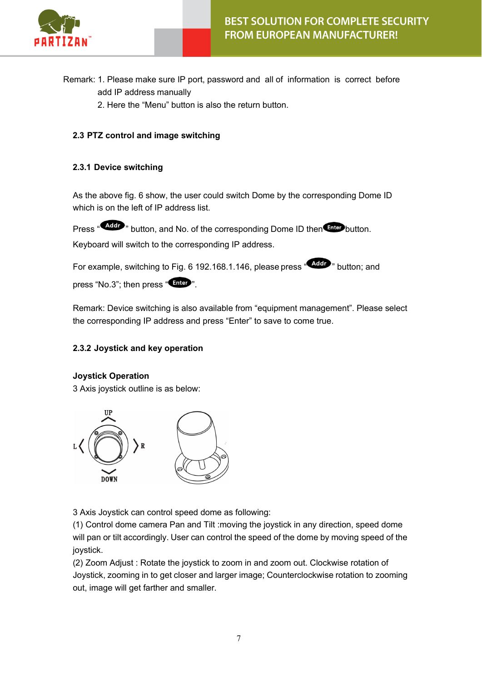

- Remark: 1. Please make sure IP port, password and all of information is correct before add IP address manually
	- 2. Here the "Menu" button is also the return button.

## <span id="page-6-0"></span>**2.3 PTZ control and image switching**

#### <span id="page-6-1"></span>**2.3.1 Device switching**

As the above fig. 6 show, the user could switch Dome by the corresponding Dome ID which is on the left of IP address list.

Press " Addr " button, and No. of the corresponding Dome ID then Filter button.

Keyboard will switch to the corresponding IP address.

For example, switching to Fig. 6 192.168.1.146, please press "Adder " button; and press "No.3"; then press "Enter".

Remark: Device switching is also available from "equipment management". Please select the corresponding IP address and press "Enter" to save to come true.

## <span id="page-6-2"></span>**2.3.2 Joystick and key operation**

#### **Joystick Operation**

3 Axis joystick outline is as below:



3 Axis Joystick can control speed dome as following:

(1) Control dome camera Pan and Tilt :moving the joystick in any direction, speed dome will pan or tilt accordingly. User can control the speed of the dome by moving speed of the joystick.

(2) Zoom Adjust : Rotate the joystick to zoom in and zoom out. Clockwise rotation of Joystick, zooming in to get closer and larger image; Counterclockwise rotation to zooming out, image will get farther and smaller.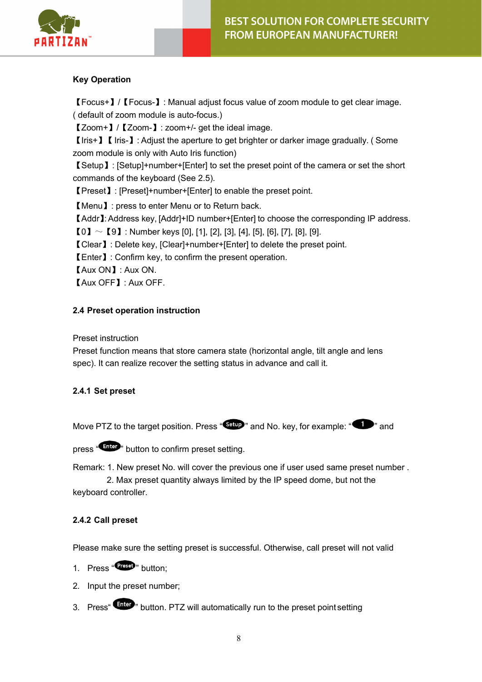

## **Key Operation**

【Focus+】/【Focus-】: Manual adjust focus value of zoom module to get clear image. ( default of zoom module is auto-focus.)

【Zoom+】/【Zoom-】: zoom+/- get the ideal image.

【Iris+】【Iris-】: Adjust the aperture to get brighter or darker image gradually. ( Some zoom module is only with Auto Iris function)

【Setup】: [Setup]+number+[Enter] to set the preset point of the camera or set the short commands of the keyboard (See 2.5).

【Preset】: [Preset]+number+[Enter] to enable the preset point.

【Menu】: press to enter Menu or to Return back.

【Addr】: Address key, [Addr]+ID number+[Enter] to choose the corresponding IP address.

 $[0] \sim [9]$ : Number keys [0], [1], [2], [3], [4], [5], [6], [7], [8], [9].

【Clear】: Delete key, [Clear]+number+[Enter] to delete the preset point.

【Enter】: Confirm key, to confirm the present operation.

【Aux ON】: Aux ON.

【Aux OFF】: Aux OFF.

## <span id="page-7-0"></span>**2.4 Preset operation instruction**

Preset instruction

Preset function means that store camera state (horizontal angle, tilt angle and lens spec). It can realize recover the setting status in advance and call it.

## <span id="page-7-1"></span>**2.4.1 Set preset**

Move PTZ to the target position. Press " $\frac{\text{Setup}}{\text{9}}$ " and No. key, for example: " $\bullet$ " and

press "Enter" button to confirm preset setting.

Remark: 1. New preset No. will cover the previous one if user used same preset number .

2. Max preset quantity always limited by the IP speed dome, but not the keyboard controller.

#### <span id="page-7-2"></span>**2.4.2 Call preset**

Please make sure the setting preset is successful. Otherwise, call preset will not valid

- 1. Press "Preset" button:
- <span id="page-7-3"></span>2. Input the preset number;
- 3. Press<sup>" Enter</sup> button. PTZ will automatically run to the preset point setting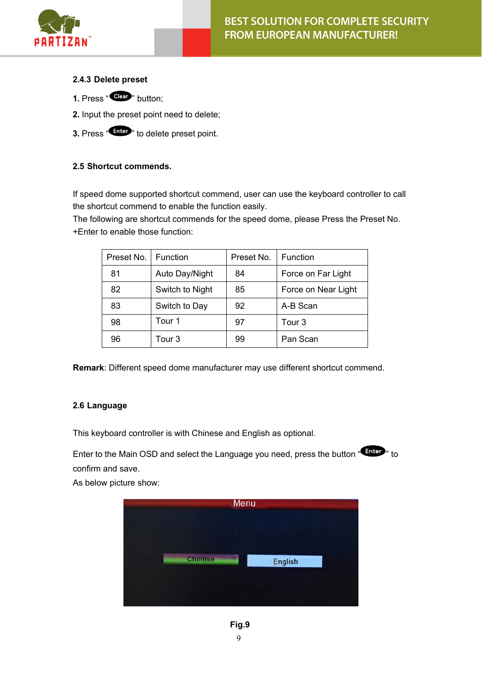

## **2.4.3 Delete preset**

- **1.** Press "Clear" button:
- **2.** Input the preset point need to delete;
- <span id="page-8-0"></span>**3.** Press "Enter" to delete preset point.

## **2.5 Shortcut commends.**

If speed dome supported shortcut commend, user can use the keyboard controller to call the shortcut commend to enable the function easily.

The following are shortcut commends for the speed dome, please Press the Preset No. +Enter to enable those function:

| Preset No. | <b>Function</b> | Preset No. | Function            |
|------------|-----------------|------------|---------------------|
| 81         | Auto Day/Night  | 84         | Force on Far Light  |
| 82         | Switch to Night | 85         | Force on Near Light |
| 83         | Switch to Day   | 92         | A-B Scan            |
| 98         | Tour 1          | 97         | Tour 3              |
| 96         | Tour 3          | 99         | Pan Scan            |

**Remark**: Different speed dome manufacturer may use different shortcut commend.

#### <span id="page-8-1"></span>**2.6 Language**

This keyboard controller is with Chinese and English as optional.

Enter to the Main OSD and select the Language you need, press the button "Enter" to confirm and save.

As below picture show:

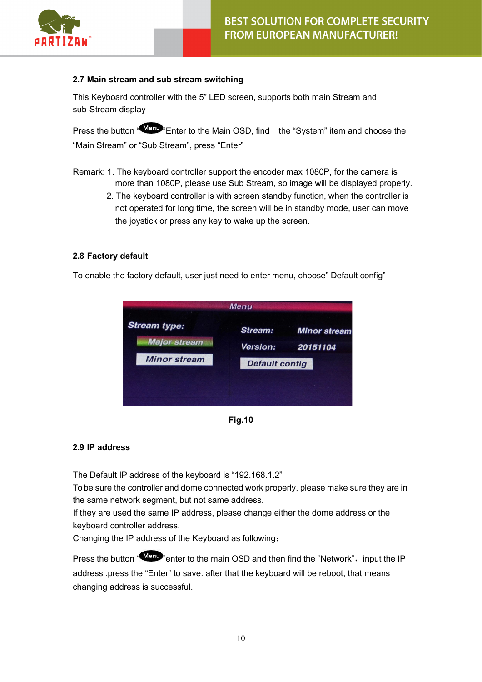

## <span id="page-9-0"></span>**2.7 Main stream and sub stream switching**

This Keyboard controller with the 5" LED screen, supports both main Stream and sub-Stream display

Press the button "Manu" Enter to the Main OSD, find the "System" item and choose the "Main Stream" or "Sub Stream", press "Enter"

- Remark: 1. The keyboard controller support the encoder max 1080P, for the camera is more than 1080P, please use Sub Stream, so image will be displayed properly.
	- 2. The keyboard controller is with screen standby function, when the controller is not operated for long time, the screen will be in standby mode, user can move the joystick or press any key to wake up the screen.

#### <span id="page-9-1"></span>**2.8 Factory default**

To enable the factory default, user just need to enter menu, choose" Default config"



**Fig.10**

#### **2.9 IP address**

The Default IP address of the keyboard is "192.168.1.2"

To be sure the controller and dome connected work properly, please make sure they are in the same network segment, but not same address.

If they are used the same IP address, please change either the dome address or the keyboard controller address.

Changing the IP address of the Keyboard as following:

<span id="page-9-2"></span>Press the button "Menu" enter to the main OSD and then find the "Network", input the IP address .press the "Enter" to save. after that the keyboard will be reboot, that means changing address is successful.